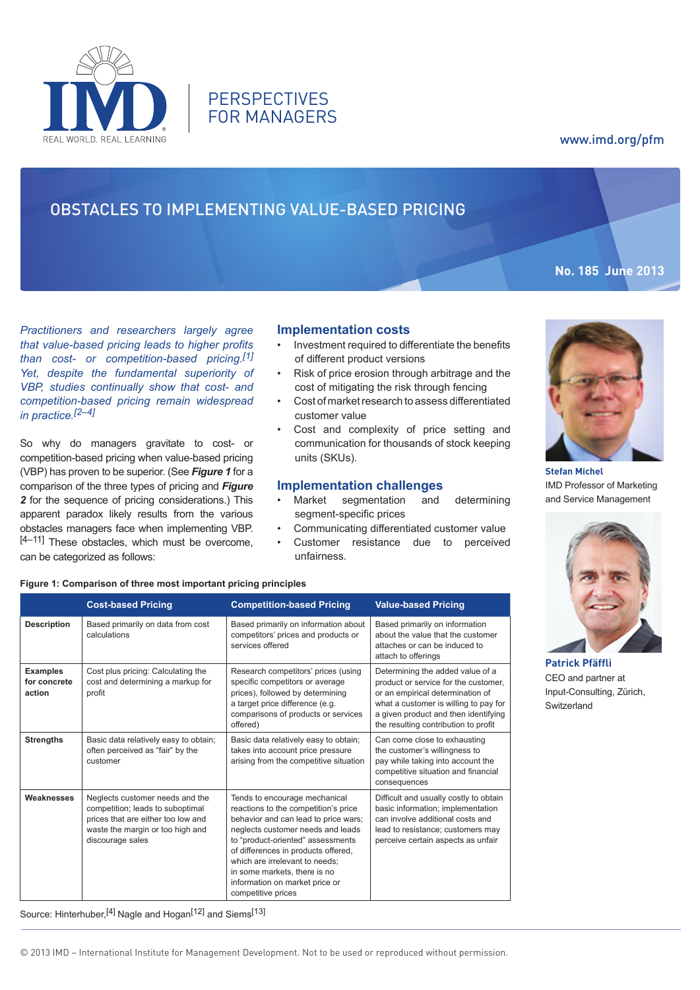

**PERSPECTIVES** FOR MANAGERS

# www.imd.org/pfm

**No. 185 June 2013**

# Obstacles to Implementing Value-based Pricing

*Practitioners and researchers largely agree that value-based pricing leads to higher profits than cost- or competition-based pricing.[1] Yet, despite the fundamental superiority of VBP, studies continually show that cost- and competition-based pricing remain widespread in practice.[2–4]*

So why do managers gravitate to cost- or competition-based pricing when value-based pricing (VBP) has proven to be superior. (See *Figure 1* for a comparison of the three types of pricing and *Figure 2* for the sequence of pricing considerations.) This apparent paradox likely results from the various obstacles managers face when implementing VBP. [4–11] These obstacles, which must be overcome, can be categorized as follows:

## **Implementation costs**

- • Investment required to differentiate the benefits of different product versions
- • Risk of price erosion through arbitrage and the cost of mitigating the risk through fencing
- Cost of market research to assess differentiated customer value
- Cost and complexity of price setting and communication for thousands of stock keeping units (SKUs).

# **Implementation challenges**

- Market segmentation and determining segment-specific prices
- Communicating differentiated customer value Customer resistance due to perceived
- unfairness.

#### **Figure 1: Comparison of three most important pricing principles**

|                                           | <b>Cost-based Pricing</b>                                                                                                                                                                                                                                                                                                                                                                                                                                                                                                     | <b>Competition-based Pricing</b>                                                                                                                                                                 | <b>Value-based Pricing</b>                                                                                                                                                                                                            |  |
|-------------------------------------------|-------------------------------------------------------------------------------------------------------------------------------------------------------------------------------------------------------------------------------------------------------------------------------------------------------------------------------------------------------------------------------------------------------------------------------------------------------------------------------------------------------------------------------|--------------------------------------------------------------------------------------------------------------------------------------------------------------------------------------------------|---------------------------------------------------------------------------------------------------------------------------------------------------------------------------------------------------------------------------------------|--|
| <b>Description</b>                        | Based primarily on data from cost<br>calculations                                                                                                                                                                                                                                                                                                                                                                                                                                                                             | Based primarily on information about<br>competitors' prices and products or<br>services offered                                                                                                  | Based primarily on information<br>about the value that the customer<br>attaches or can be induced to<br>attach to offerings                                                                                                           |  |
| <b>Examples</b><br>for concrete<br>action | Cost plus pricing: Calculating the<br>cost and determining a markup for<br>profit                                                                                                                                                                                                                                                                                                                                                                                                                                             | Research competitors' prices (using<br>specific competitors or average<br>prices), followed by determining<br>a target price difference (e.g.<br>comparisons of products or services<br>offered) | Determining the added value of a<br>product or service for the customer,<br>or an empirical determination of<br>what a customer is willing to pay for<br>a given product and then identifying<br>the resulting contribution to profit |  |
| <b>Strengths</b>                          | Basic data relatively easy to obtain;<br>often perceived as "fair" by the<br>customer                                                                                                                                                                                                                                                                                                                                                                                                                                         | Basic data relatively easy to obtain;<br>takes into account price pressure<br>arising from the competitive situation                                                                             | Can come close to exhausting<br>the customer's willingness to<br>pay while taking into account the<br>competitive situation and financial<br>consequences                                                                             |  |
| Weaknesses                                | Neglects customer needs and the<br>Tends to encourage mechanical<br>competition; leads to suboptimal<br>reactions to the competition's price<br>prices that are either too low and<br>behavior and can lead to price wars;<br>neglects customer needs and leads<br>waste the margin or too high and<br>to "product-oriented" assessments<br>discourage sales<br>of differences in products offered,<br>which are irrelevant to needs:<br>in some markets, there is no<br>information on market price or<br>competitive prices |                                                                                                                                                                                                  | Difficult and usually costly to obtain<br>basic information; implementation<br>can involve additional costs and<br>lead to resistance; customers may<br>perceive certain aspects as unfair                                            |  |

Source: Hinterhuber.<sup>[4]</sup> Nagle and Hogan<sup>[12]</sup> and Siems<sup>[13]</sup>



**Stefan Michel** IMD Professor of Marketing and Service Management



**Patrick Pfäffli** CEO and partner at Input-Consulting, Zürich, Switzerland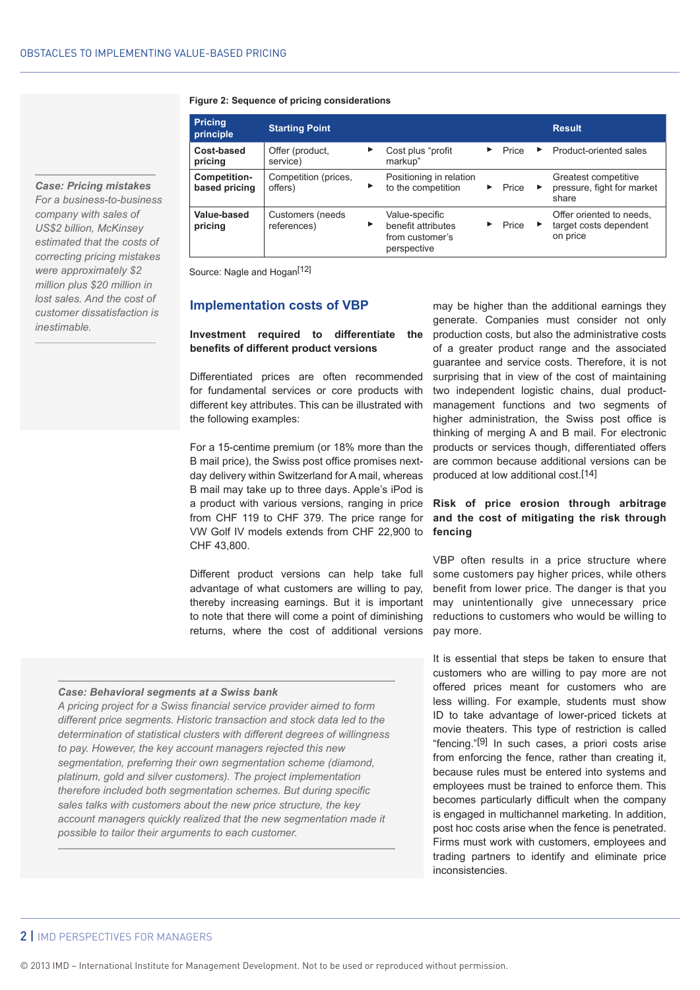#### **Figure 2: Sequence of pricing considerations**

| <b>Pricing</b><br>principle   | <b>Starting Point</b>           |   |                                                                        |       |   | <b>Result</b>                                                  |
|-------------------------------|---------------------------------|---|------------------------------------------------------------------------|-------|---|----------------------------------------------------------------|
| Cost-based<br>pricing         | Offer (product,<br>service)     | ▶ | Cost plus "profit"<br>markup"                                          | Price | ▶ | Product-oriented sales                                         |
| Competition-<br>based pricing | Competition (prices,<br>offers) | ▶ | Positioning in relation<br>to the competition                          | Price | ▸ | Greatest competitive<br>pressure, fight for market<br>share    |
| Value-based<br>pricing        | Customers (needs<br>references) | ▶ | Value-specific<br>benefit attributes<br>from customer's<br>perspective | Price | ▸ | Offer oriented to needs.<br>target costs dependent<br>on price |

Source: Nagle and Hogan<sup>[12]</sup>

#### **Implementation costs of VBP**

## **Investment required to differentiate the benefits of different product versions**

Differentiated prices are often recommended for fundamental services or core products with different key attributes. This can be illustrated with the following examples:

For a 15-centime premium (or 18% more than the B mail price), the Swiss post office promises nextday delivery within Switzerland for A mail, whereas B mail may take up to three days. Apple's iPod is a product with various versions, ranging in price from CHF 119 to CHF 379. The price range for VW Golf IV models extends from CHF 22,900 to CHF 43,800.

Different product versions can help take full advantage of what customers are willing to pay, thereby increasing earnings. But it is important to note that there will come a point of diminishing returns, where the cost of additional versions

#### *Case: Behavioral segments at a Swiss bank*

*A pricing project for a Swiss financial service provider aimed to form different price segments. Historic transaction and stock data led to the determination of statistical clusters with different degrees of willingness to pay. However, the key account managers rejected this new segmentation, preferring their own segmentation scheme (diamond, platinum, gold and silver customers). The project implementation therefore included both segmentation schemes. But during specific sales talks with customers about the new price structure, the key account managers quickly realized that the new segmentation made it possible to tailor their arguments to each customer.*

may be higher than the additional earnings they generate. Companies must consider not only production costs, but also the administrative costs of a greater product range and the associated guarantee and service costs. Therefore, it is not surprising that in view of the cost of maintaining two independent logistic chains, dual productmanagement functions and two segments of higher administration, the Swiss post office is thinking of merging A and B mail. For electronic products or services though, differentiated offers are common because additional versions can be produced at low additional cost.[14]

## **Risk of price erosion through arbitrage and the cost of mitigating the risk through fencing**

VBP often results in a price structure where some customers pay higher prices, while others benefit from lower price. The danger is that you may unintentionally give unnecessary price reductions to customers who would be willing to pay more.

It is essential that steps be taken to ensure that customers who are willing to pay more are not offered prices meant for customers who are less willing. For example, students must show ID to take advantage of lower-priced tickets at movie theaters. This type of restriction is called "fencing."[9] In such cases, a priori costs arise from enforcing the fence, rather than creating it, because rules must be entered into systems and employees must be trained to enforce them. This becomes particularly difficult when the company is engaged in multichannel marketing. In addition, post hoc costs arise when the fence is penetrated. Firms must work with customers, employees and trading partners to identify and eliminate price inconsistencies.

*Case: Pricing mistakes For a business-to-business company with sales of US\$2 billion, McKinsey estimated that the costs of correcting pricing mistakes were approximately \$2 million plus \$20 million in lost sales. And the cost of customer dissatisfaction is inestimable.*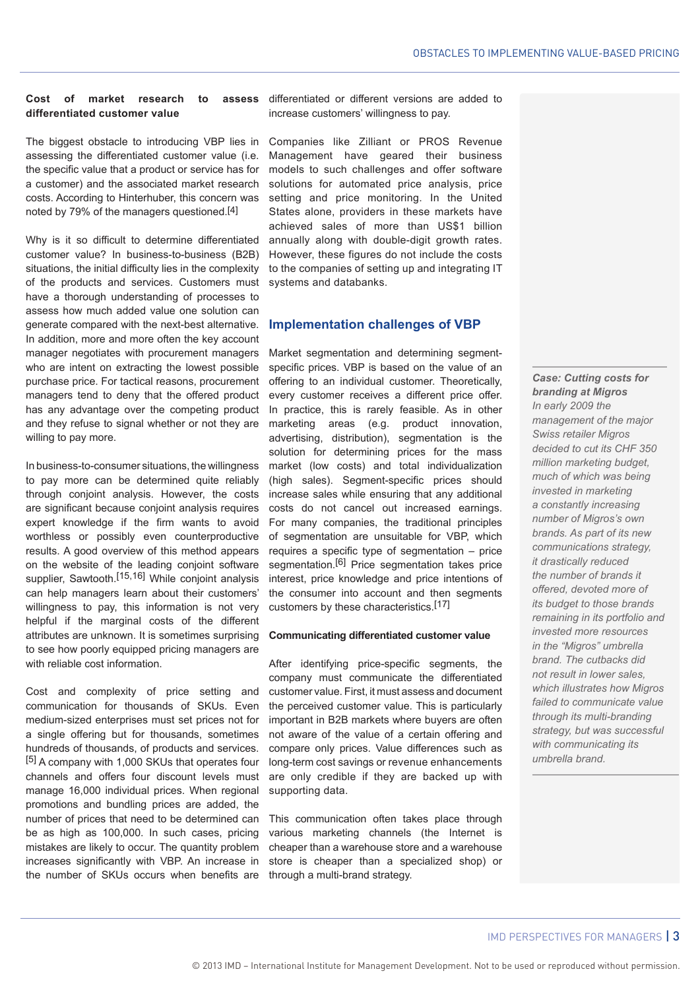# **Cost of market research to assess differentiated customer value**

The biggest obstacle to introducing VBP lies in assessing the differentiated customer value (i.e. the specific value that a product or service has for a customer) and the associated market research costs. According to Hinterhuber, this concern was noted by 79% of the managers questioned.[4]

Why is it so difficult to determine differentiated customer value? In business-to-business (B2B) situations, the initial difficulty lies in the complexity of the products and services. Customers must have a thorough understanding of processes to assess how much added value one solution can generate compared with the next-best alternative. In addition, more and more often the key account manager negotiates with procurement managers who are intent on extracting the lowest possible purchase price. For tactical reasons, procurement managers tend to deny that the offered product has any advantage over the competing product and they refuse to signal whether or not they are willing to pay more.

In business-to-consumer situations, the willingness to pay more can be determined quite reliably through conjoint analysis. However, the costs are significant because conjoint analysis requires expert knowledge if the firm wants to avoid worthless or possibly even counterproductive results. A good overview of this method appears on the website of the leading conjoint software supplier, Sawtooth.<sup>[15,16]</sup> While conjoint analysis can help managers learn about their customers' willingness to pay, this information is not very helpful if the marginal costs of the different attributes are unknown. It is sometimes surprising to see how poorly equipped pricing managers are with reliable cost information.

Cost and complexity of price setting and communication for thousands of SKUs. Even medium-sized enterprises must set prices not for a single offering but for thousands, sometimes hundreds of thousands, of products and services. [5] A company with 1,000 SKUs that operates four channels and offers four discount levels must manage 16,000 individual prices. When regional promotions and bundling prices are added, the number of prices that need to be determined can be as high as 100,000. In such cases, pricing mistakes are likely to occur. The quantity problem increases significantly with VBP. An increase in the number of SKUs occurs when benefits are

differentiated or different versions are added to increase customers' willingness to pay.

Companies like Zilliant or PROS Revenue Management have geared their business models to such challenges and offer software solutions for automated price analysis, price setting and price monitoring. In the United States alone, providers in these markets have achieved sales of more than US\$1 billion annually along with double-digit growth rates. However, these figures do not include the costs to the companies of setting up and integrating IT systems and databanks.

#### **Implementation challenges of VBP**

Market segmentation and determining segmentspecific prices. VBP is based on the value of an offering to an individual customer. Theoretically, every customer receives a different price offer. In practice, this is rarely feasible. As in other marketing areas (e.g. product innovation, advertising, distribution), segmentation is the solution for determining prices for the mass market (low costs) and total individualization (high sales). Segment-specific prices should increase sales while ensuring that any additional costs do not cancel out increased earnings. For many companies, the traditional principles of segmentation are unsuitable for VBP, which requires a specific type of segmentation – price segmentation.<sup>[6]</sup> Price segmentation takes price interest, price knowledge and price intentions of the consumer into account and then segments customers by these characteristics.[17]

#### **Communicating differentiated customer value**

After identifying price-specific segments, the company must communicate the differentiated customer value. First, it must assess and document the perceived customer value. This is particularly important in B2B markets where buyers are often not aware of the value of a certain offering and compare only prices. Value differences such as long-term cost savings or revenue enhancements are only credible if they are backed up with supporting data.

This communication often takes place through various marketing channels (the Internet is cheaper than a warehouse store and a warehouse store is cheaper than a specialized shop) or through a multi-brand strategy.

*Case: Cutting costs for branding at Migros In early 2009 the management of the major Swiss retailer Migros decided to cut its CHF 350 million marketing budget, much of which was being invested in marketing a constantly increasing number of Migros's own brands. As part of its new communications strategy, it drastically reduced the number of brands it offered, devoted more of its budget to those brands remaining in its portfolio and invested more resources in the "Migros" umbrella brand. The cutbacks did not result in lower sales, which illustrates how Migros failed to communicate value through its multi-branding strategy, but was successful with communicating its umbrella brand.*